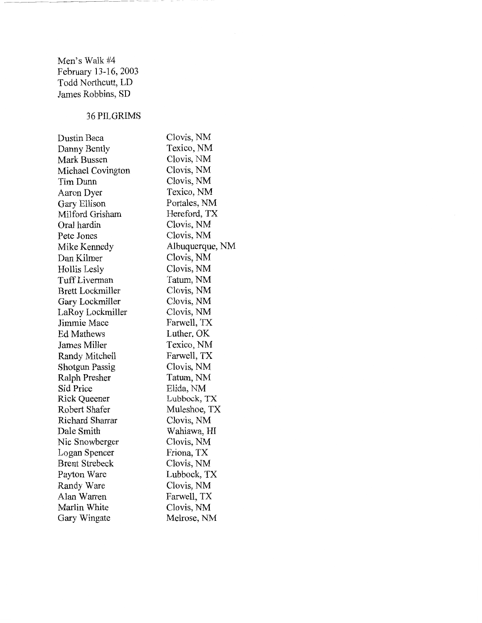Men's Walk #4 February 13-16,2003 Todd Northcutt, LD James Robbins, SD

# 36PILGRIMS

| Dustin Baca             | Clovis, NM      |
|-------------------------|-----------------|
| Danny Bently            | Texico, NM      |
| Mark Bussen             | Clovis, NM      |
| Michael Covington       | Clovis, NM      |
| Tim Dunn                | Clovis, NM      |
| Aaron Dyer              | Texico, NM      |
| Gary Ellison            | Portales, NM    |
| Milford Grisham         | Hereford, TX    |
| Oral hardin             | Clovis, NM      |
| Pete Jones              | Clovis, NM      |
| Mike Kennedy            | Albuquerque, NM |
| Dan Kilmer              | Clovis, NM      |
| Hollis Lesly            | Clovis, NM      |
| Tuff Liverman           | Tatum, NM       |
| <b>Brett Lockmiller</b> | Clovis, NM      |
| Gary Lockmiller         | Clovis, NM      |
| LaRoy Lockmiller        | Clovis, NM      |
| Jimmie Mace             | Farwell, TX     |
| <b>Ed Mathews</b>       | Luther, OK      |
| James Miller            | Texico, NM      |
| Randy Mitchell          | Farwell, TX     |
| <b>Shotgun Passig</b>   | Clovis, NM      |
| Ralph Presher           | Tatum, NM       |
| Sid Price               | Elida, NM       |
| <b>Rick Queener</b>     | Lubbock, TX     |
| Robert Shafer           | Muleshoe, TX    |
| Richard Sharrar         | Clovis, NM      |
| Dale Smith              | Wahiawa, HI     |
| Nic Snowberger          | Clovis, NM      |
| Logan Spencer           | Friona, TX      |
| <b>Brent Strebeck</b>   | Clovis, NM      |
| Payton Ware             | Lubbock, TX     |
| Randy Ware              | Clovis, NM      |
| Alan Warren             | Farwell, TX     |
| Marlin White            | Clovis, NM      |
| Gary Wingate            | Melrose, NM     |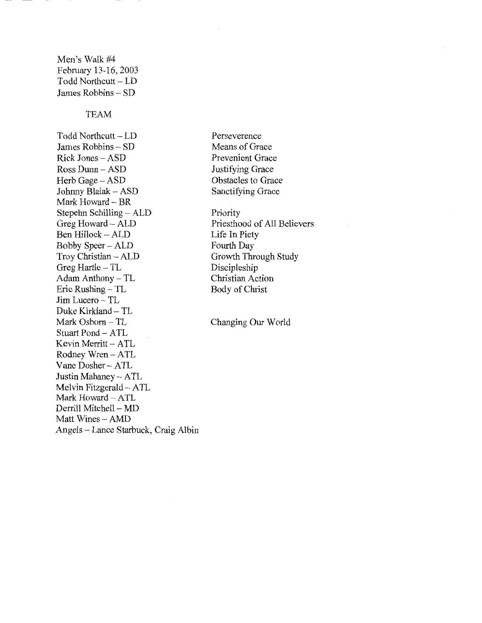# Men's Walk #4 February 13-16, 2003 Todd Northcutt- LD James Robbins- SD

### TEAM

Todd Northcutt- LD James Robbins - SD Rick Jones - ASD Ross Dunn- ASD Herb Gage- ASD Johnny Blalak- ASD Mark Howard- BR Stepehn Schilling - ALD Greg Howard- ALD Ben Hillock- ALD Bobby Speer- ALD Troy Christian- ALD Greg Hartle  $-TL$ Adam Anthony- TL Eric Rushing- TL Jim Lucero - TL Duke Kirkland- TL Mark Osborn- TL Stuart Pond- ATL Kevin Merritt- ATL Rodney Wren- ATL Vane Dosher - ATL Justin Mahaney- ATL Melvin Fitzgerald- ATL Mark Howard- ATL Derrill Mitchell - MD Matt Wines- AMD Angels - Lance Starbuck, Craig Albin Perseverence Means of Grace Prevenient Grace Justifying Grace Obstacles to Grace Sanctifying Grace

Priority Priesthood of All Believers Life In Piety Fourth Day Growth Through Study Discipleship Christian Action Body of Christ

Changing Our World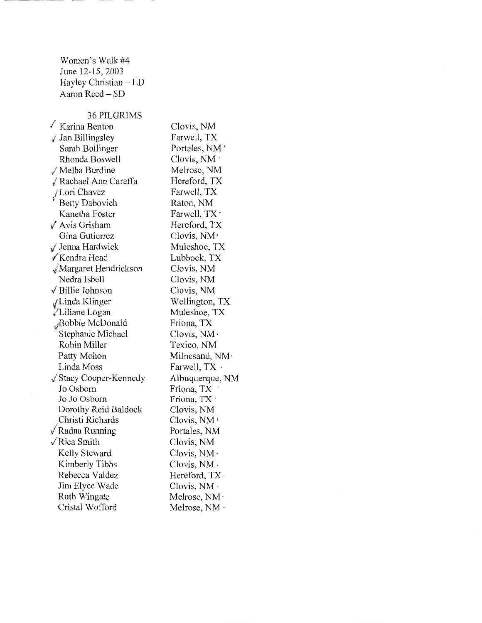Women's Walk #4 June 12-15,2003 Hayley Christian- LD Aaron Reed - SD

#### 36 PILGRIMS

 $\overline{\phantom{a}}$  Karina Benton  $\sqrt{I}$  Jan Billingsley Sarah Bollinger Rhonda Boswell Melba Burdine √ Rachael Ann Caraffa /Lori Chavez Betty Dabovich Kanetha Foster  $\sqrt{\phantom{a}}$  Avis Grisham Gina Gutierrez / Jenna Hardwick √Kendra Head JMargaret Hendrickson Nedra Isbell  $\sqrt{\frac{1}{1}}$ Billie Johnson ..;: Linda Klinger /Liliane Logan ~Bobbie McDonald Stephanie Michael Robin Miller Patty Mohon Linda Moss *J* Stacy Cooper-Kennedy Jo Osborn Jo Jo Osbom Dorothy Reid Baldock Christi Richards / Radna Running /Rica Smith Kelly Steward Kimberly Tibbs Rebecca Valdez Jim Elyce Wade Ruth Wingate Cristal Wofford

Clovis, NM Farwell, TX Portales, NM ' Clovis, NM' Melrose, NM Hereford, TX Farwell, TX Raton, NM Farwell, TX · Hereford, TX Clovis, NM' Muleshoe, TX Lubbock, TX Clovis, NM Clovis, NM Clovis, NM Wellington, TX Muleshoe, TX Friona, TX Clovis, NM• Texico, NM Milnesand, NM, Farwell,  $TX \cdot$ Albuquerque, NM Friona, TX Friona, TX' Clovis, NM Clovis, NM' Portales, NM Clovis, NM Clovis, NM· Clovis, NM · Hereford, TX · Clovis, NM Melrose, NM · Melrose, NM ·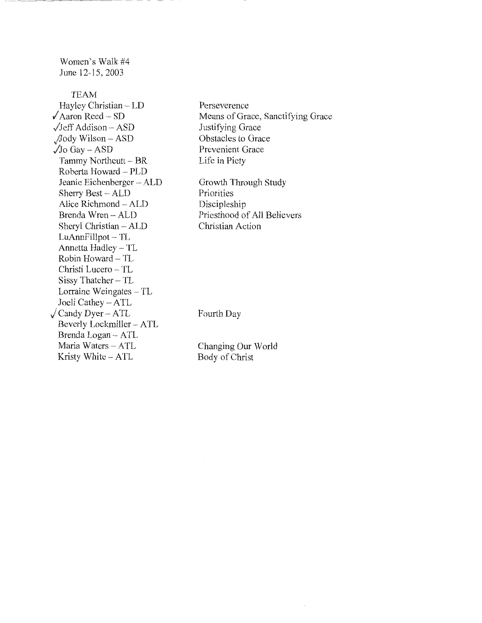Women's Walk #4 June 12-15,2003

TEAM Hayley Christian- LD  $\sqrt{\text{Aaron Reed}} - \text{SD}$  $\sqrt{\text{Jeff}}$  Addison – ASD ,./.lody Wilson- ASD  $\sqrt{J_0}$  Gay – ASD Tammy Northcutt- BR Roberta Howard- PLD Jeanie Eichenberger- ALD Sherry Best - ALD Alice Richmond - ALD Brenda Wren - ALD Sheryl Christian- ALD LuAnnFillpot- TL Annetta Hadley - TL Robin Howard- TL Christi Lucero - TL Sissy Thatcher- TL Lorraine Weingates - TL Joeli Cathey- ATL *j* Candy Dyer- A TL Beverly Lockmiller- A TL Brenda Logan- ATL Maria Waters - ATL Kristy White - ATL

Perseverence Means of Grace, Sanctifying Grace Justifying Grace Obstacles to Grace Prevenient Grace Life in Piety

Growth Through Study Priorities Discipleship Priesthood of All Believers Christian Action

Fourth Day

Changing Our World Body of Christ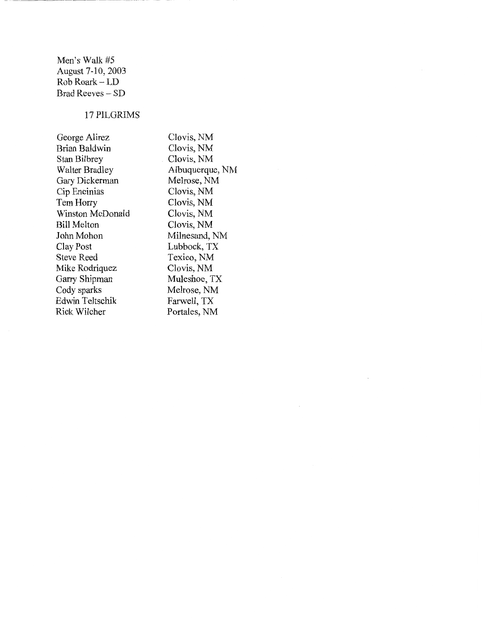Men's Walk #5 August 7-10, 2003 Rob Roark- LD Brad Reeves - SD

------------- -----

## 17 PILGRIMS

George Alirez Brian Baldwin Stan Bilbrey Walter Bradley Gary Dickerman Cip Encinias TemHorry Winston McDonald Bill Melton John Mohon Clay Post Steve Reed Mike Rodriquez Garry Shipman Cody sparks Edwin Teltschik Rick Wilcher

Clovis, NM Clovis, NM Clovis, NM Albuquerque, NM Melrose, NM Clovis, NM Clovis, NM Clovis, NM Clovis, NM Milnesand, NM Lubbock, TX Texico, NM Clovis, NM Muleshoe, TX Melrose, NM Farwell, TX Portales, NM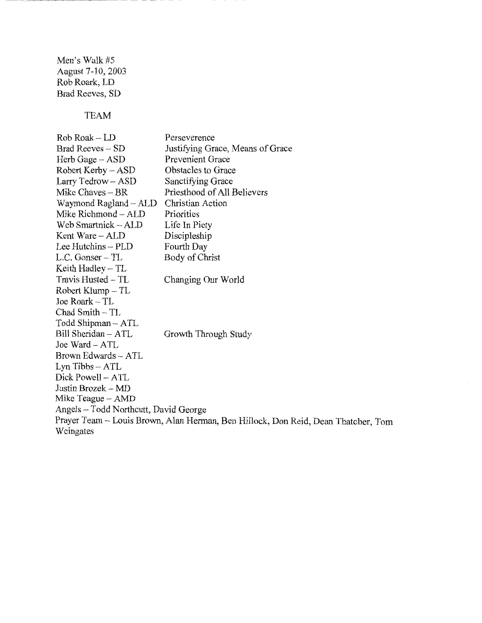Men's Walk #5 August 7-10, 2003 Rob Roark, LD Brad Reeves, SD

------"---- -- - -"

TEAM

RobRoak-LD Brad Reeves - SD Herb Gage - ASD Robert Kerby- ASD Larry Tedrow- ASD Mike Chaves- BR Waymond Ragland- ALD Mike Richmond- ALD Web Smartnick- ALD Kent Ware- ALD Lee Hutchins - PLD L.C. Gonser - TL Keith Hadley  $-TL$ Travis Husted- TL Robert Klump - TL Joe Roark- TL Chad Smith- TL Todd Shipman- A TL Bill Sheridan- ATL Joe Ward- ATL Brown Edwards - ATL Lyn Tibbs- ATL Dick Powell- ATL Justin Brozek- MD Mike Teague- AMD Perseverence Justifying Grace, Means of Grace Prevenient Grace Obstacles to Grace Sanctifying Grace Priesthood of All Believers Christian Action Priorities Life In Piety Discipleship Fourth Day Body of Christ Changing Our World Growth Through Study Angels- Todd Northcutt, David George Prayer Team- Louis Brown, Alan Herman, Ben Hillock, Don Reid, Dean Thatcher, Tom Weingates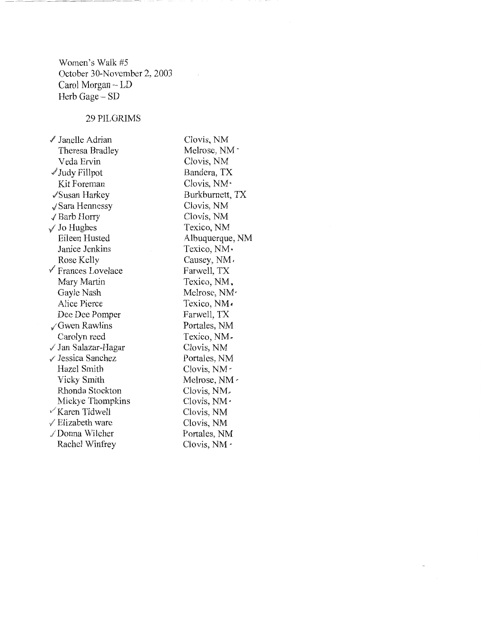Women's Walk #5 October 30-November 2, 2003 Carol Morgan - LD Herb Gage – SD

#### 29PILGRIMS

/ Janelle Adrian Theresa Bradley Veda Ervin  $\mathscr I$  Judy Fillpot Kit Foreman /Susan Harkey √ Sara Hennessy /Barb Horry Jo Hughes Eileen Husted Janice Jenkins Rose Kelly  $\sqrt{\ }$  Frances Lovelace Mary Martin Gayle Nash Alice Pierce Dee Dee Pomper ,/Gwen Rawlins Carolyn reed √ Jan Salazar-Hagar √ Jessica Sanchez Hazel Smith Vicky Smith Rhonda Stockton Mickye Thompkins  $\sqrt{\text{K}$ aren Tidwell  $\sqrt{\text{Elizabeth}}$  ware Donna Wilcher Rachel Winfrey Clovis, NM •

Clovis, NM Melrose, NM - Clovis, NM Bandera, TX Clovis, NM· Burkburnett, TX Clovis, NM Clovis, NM Texico, NM Albuquerque, NM Texico, NM· Causey, NM, Farwell, TX Texico, NM. Melrose, NM Texico, NM• Farwell, TX Portales, NM Texico, NM~ Clovis, NM Portales, NM Clovis, NM-Melrose, NM <sup>~</sup> Clovis, NM~ Clovis, NM· Clovis, NM Clovis, NM Portales, NM